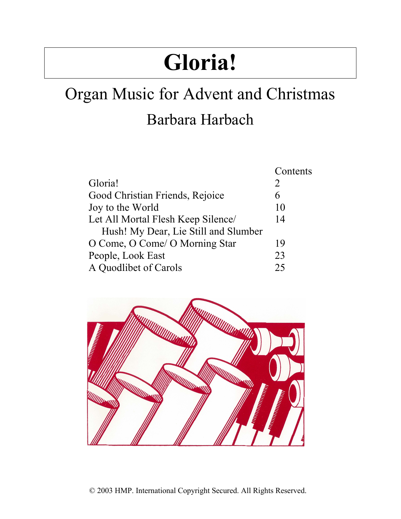# **Gloria!**

## Organ Music for Advent and Christmas Barbara Harbach

| Contents |
|----------|
| 2        |
| 6        |
| 10       |
| 14       |
|          |
| 19       |
| 23       |
| 25       |
|          |

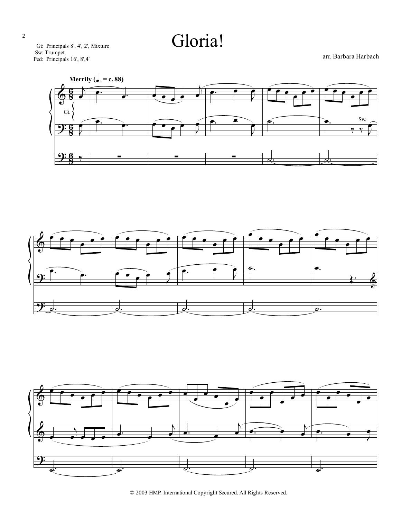Gloria!

Gt: Principals 8', 4', 2', Mixture Sw: Trumpet Ped: Principals 16', 8',4'

arr. Barbara Harbach







© 2003 HMP. International Copyright Secured. All Rights Reserved.

2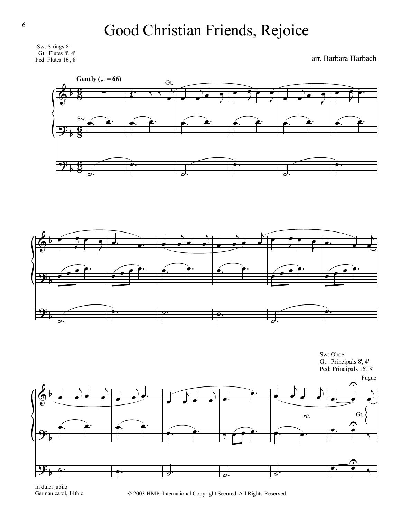

arr. Barbara Harbach









In dulci jubilo German carol, 14th c.

© 2003 HMP. International Copyright Secured. All Rights Reserved.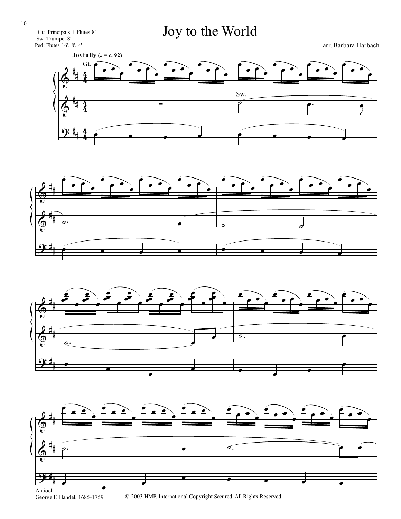Gt: Principals + Flutes 8' Sw: Trumpet 8' Ped: Flutes 16', 8', 4'

#### Joy to the World

arr. Barbara Harbach







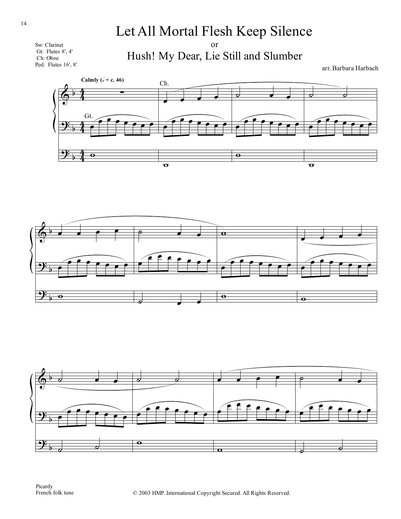Sw: Clarinet Gt: Flutes 8', 4' Ch: Oboe Ped: Flutes 16', 8'

or Hush! My Dear, Lie Still and Slumber

arr. Barbara Harbach





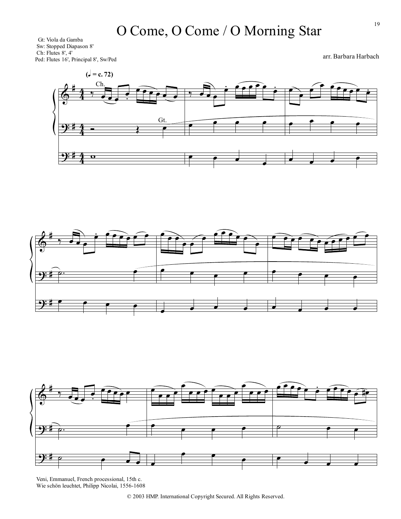Gt: Viola da Gamba Sw: Stopped Diapason 8' Ch: Flutes 8', 4' Ped: Flutes 16', Principal 8', Sw/Ped

∀

 $\frac{4}{4}$ 4 Ch.

 $rac{4}{4}$ 4

 $\Phi$ 

 $\frac{1}{2}$ 

∀

 $^{\prime}$ œ −  $\overline{\mathbf{e}}$  $\overrightarrow{c}$ Gt  $, \overrightarrow{e}$ œ − œ œ œ œ œ œ −<br>− œ  $e$   $e$   $e$ œ œ œ  $\epsilon$ œ −<br>∙ œ  $\bullet$   $\bullet$   $\bullet$  $\left( \frac{\text{I}}{\text{I}} = \text{c. 72} \right)$ 







Veni, Emmanuel, French processional, 15th c. Wie schön leuchtet, Philipp Nicolai, 1556-1608 arr. Barbara Harbach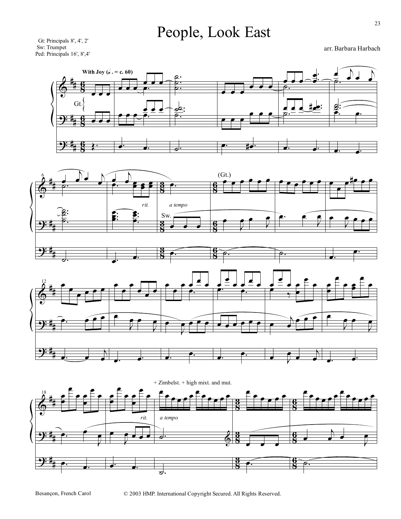### People, Look East

Gt: Principals 8', 4', 2' Sw: Trumpet Ped: Principals 16', 8',4'

arr. Barbara Harbach







Besançon, French Carol

© 2003 HMP. International Copyright Secured. All Rights Reserved.